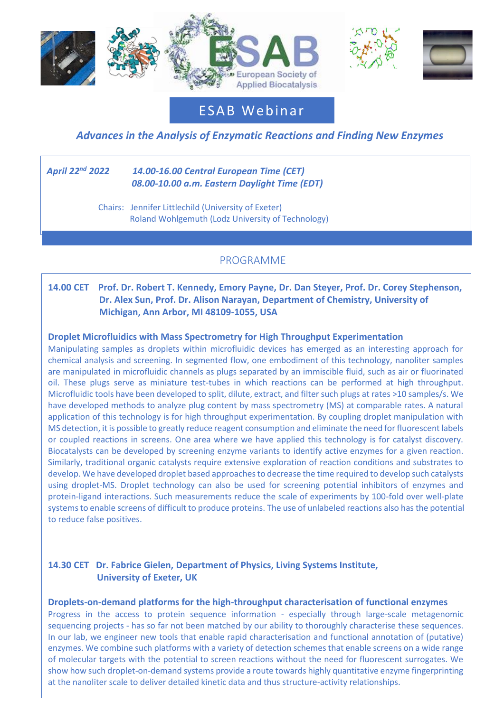





ESAB Webinar

# *Advances in the Analysis of Enzymatic Reactions and Finding New Enzymes*

#### *April 22 nd 2022 14.00-16.00 Central European Time (CET) 08.00-10.00 a.m. Eastern Daylight Time (EDT)*

j

 Chairs: Jennifer Littlechild (University of Exeter) Roland Wohlgemuth (Lodz University of Technology)

## PROGRAMME

## **14.00 CET Prof. Dr. Robert T. Kennedy, Emory Payne, Dr. Dan Steyer, Prof. Dr. Corey Stephenson, Dr. Alex Sun, Prof. Dr. Alison Narayan, Department of Chemistry, University of Michigan, Ann Arbor, MI 48109-1055, USA**

### **Droplet Microfluidics with Mass Spectrometry for High Throughput Experimentation**

Manipulating samples as droplets within microfluidic devices has emerged as an interesting approach for chemical analysis and screening. In segmented flow, one embodiment of this technology, nanoliter samples are manipulated in microfluidic channels as plugs separated by an immiscible fluid, such as air or fluorinated oil. These plugs serve as miniature test-tubes in which reactions can be performed at high throughput. Microfluidic tools have been developed to split, dilute, extract, and filter such plugs at rates >10 samples/s. We have developed methods to analyze plug content by mass spectrometry (MS) at comparable rates. A natural application of this technology is for high throughput experimentation. By coupling droplet manipulation with MS detection, it is possible to greatly reduce reagent consumption and eliminate the need for fluorescent labels or coupled reactions in screens. One area where we have applied this technology is for catalyst discovery. Biocatalysts can be developed by screening enzyme variants to identify active enzymes for a given reaction. Similarly, traditional organic catalysts require extensive exploration of reaction conditions and substrates to develop. We have developed droplet based approaches to decrease the time required to develop such catalysts using droplet-MS. Droplet technology can also be used for screening potential inhibitors of enzymes and protein-ligand interactions. Such measurements reduce the scale of experiments by 100-fold over well-plate systems to enable screens of difficult to produce proteins. The use of unlabeled reactions also has the potential to reduce false positives.

## **14.30 CET Dr. Fabrice Gielen, Department of Physics, Living Systems Institute, University of Exeter, UK**

#### **Droplets-on-demand platforms for the high-throughput characterisation of functional enzymes**

Progress in the access to protein sequence information - especially through large-scale metagenomic sequencing projects - has so far not been matched by our ability to thoroughly characterise these sequences. In our lab, we engineer new tools that enable rapid characterisation and functional annotation of (putative) enzymes. We combine such platforms with a variety of detection schemes that enable screens on a wide range of molecular targets with the potential to screen reactions without the need for fluorescent surrogates. We show how such droplet-on-demand systems provide a route towards highly quantitative enzyme fingerprinting at the nanoliter scale to deliver detailed kinetic data and thus structure-activity relationships.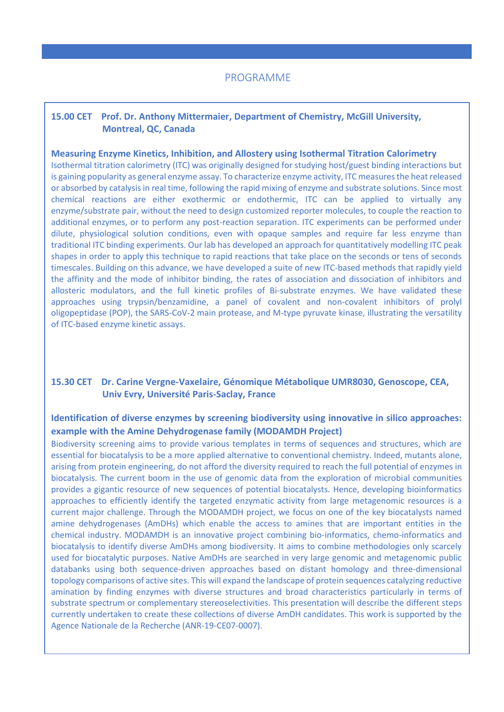## **15.00 CET Prof. Dr. Anthony Mittermaier, Department of Chemistry, McGill University, Montreal, QC, Canada**

#### **Measuring Enzyme Kinetics, Inhibition, and Allostery using Isothermal Titration Calorimetry**

Isothermal titration calorimetry (ITC) was originally designed for studying host/guest binding interactions but is gaining popularity as general enzyme assay. To characterize enzyme activity, ITC measures the heat released or absorbed by catalysis in real time, following the rapid mixing of enzyme and substrate solutions. Since most chemical reactions are either exothermic or endothermic, ITC can be applied to virtually any enzyme/substrate pair, without the need to design customized reporter molecules, to couple the reaction to additional enzymes, or to perform any post-reaction separation. ITC experiments can be performed under dilute, physiological solution conditions, even with opaque samples and require far less enzyme than traditional ITC binding experiments. Our lab has developed an approach for quantitatively modelling ITC peak shapes in order to apply this technique to rapid reactions that take place on the seconds or tens of seconds timescales. Building on this advance, we have developed a suite of new ITC-based methods that rapidly yield the affinity and the mode of inhibitor binding, the rates of association and dissociation of inhibitors and allosteric modulators, and the full kinetic profiles of Bi-substrate enzymes. We have validated these approaches using trypsin/benzamidine, a panel of covalent and non-covalent inhibitors of prolyl oligopeptidase (POP), the SARS-CoV-2 main protease, and M-type pyruvate kinase, illustrating the versatility of ITC-based enzyme kinetic assays.

## **15.30 CET Dr. Carine Vergne-Vaxelaire, Génomique Métabolique UMR8030, Genoscope, CEA, Univ Evry, Université Paris-Saclay, France**

## **Identification of diverse enzymes by screening biodiversity using innovative in silico approaches: example with the Amine Dehydrogenase family (MODAMDH Project)**

Biodiversity screening aims to provide various templates in terms of sequences and structures, which are essential for biocatalysis to be a more applied alternative to conventional chemistry. Indeed, mutants alone, arising from protein engineering, do not afford the diversity required to reach the full potential of enzymes in biocatalysis. The current boom in the use of genomic data from the exploration of microbial communities provides a gigantic resource of new sequences of potential biocatalysts. Hence, developing bioinformatics approaches to efficiently identify the targeted enzymatic activity from large metagenomic resources is a current major challenge. Through the MODAMDH project, we focus on one of the key biocatalysts named amine dehydrogenases (AmDHs) which enable the access to amines that are important entities in the chemical industry. MODAMDH is an innovative project combining bio-informatics, chemo-informatics and biocatalysis to identify diverse AmDHs among biodiversity. It aims to combine methodologies only scarcely used for biocatalytic purposes. Native AmDHs are searched in very large genomic and metagenomic public databanks using both sequence-driven approaches based on distant homology and three-dimensional topology comparisons of active sites. This will expand the landscape of protein sequences catalyzing reductive amination by finding enzymes with diverse structures and broad characteristics particularly in terms of substrate spectrum or complementary stereoselectivities. This presentation will describe the different steps currently undertaken to create these collections of diverse AmDH candidates. This work is supported by the Agence Nationale de la Recherche (ANR-19-CE07-0007).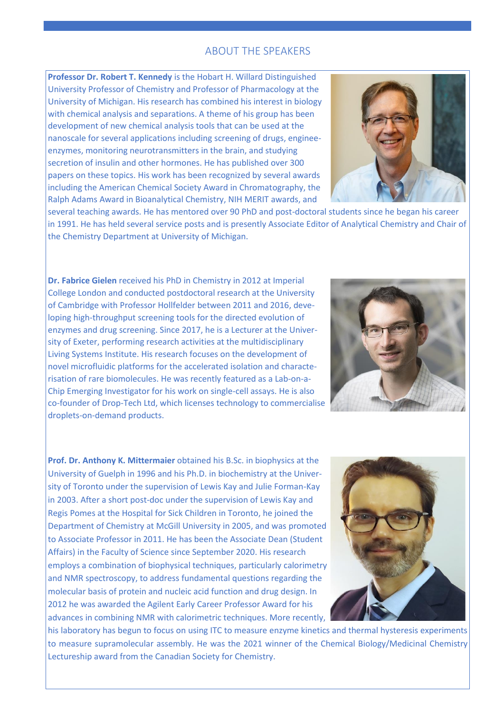## ABOUT THE SPEAKERS

**Professor Dr. Robert T. Kennedy** is the Hobart H. Willard Distinguished University Professor of Chemistry and Professor of Pharmacology at the University of Michigan. His research has combined his interest in biology with chemical analysis and separations. A theme of his group has been development of new chemical analysis tools that can be used at the nanoscale for several applications including screening of drugs, engineeenzymes, monitoring neurotransmitters in the brain, and studying secretion of insulin and other hormones. He has published over 300 papers on these topics. His work has been recognized by several awards including the American Chemical Society Award in Chromatography, the Ralph Adams Award in Bioanalytical Chemistry, NIH MERIT awards, and



several teaching awards. He has mentored over 90 PhD and post-doctoral students since he began his career in 1991. He has held several service posts and is presently Associate Editor of Analytical Chemistry and Chair of the Chemistry Department at University of Michigan.

**Dr. Fabrice Gielen** received his PhD in Chemistry in 2012 at Imperial College London and conducted postdoctoral research at the University of Cambridge with Professor Hollfelder between 2011 and 2016, developing high-throughput screening tools for the directed evolution of enzymes and drug screening. Since 2017, he is a Lecturer at the Univer sity of Exeter, performing research activities at the multidisciplinary Living Systems Institute. His research focuses on the development of novel microfluidic platforms for the accelerated isolation and characterisation of rare biomolecules. He was recently featured as a Lab-on-a-Chip Emerging Investigator for his work on single-cell assays. He is also co-founder of Drop-Tech Ltd, which licenses technology to commercialise droplets-on-demand products.



**Prof. Dr. Anthony K. Mittermaier** obtained his B.Sc. in biophysics at the University of Guelph in 1996 and his Ph.D. in biochemistry at the University of Toronto under the supervision of Lewis Kay and Julie Forman-Kay in 2003. After a short post-doc under the supervision of Lewis Kay and Regis Pomes at the Hospital for Sick Children in Toronto, he joined the Department of Chemistry at McGill University in 2005, and was promoted to Associate Professor in 2011. He has been the Associate Dean (Student Affairs) in the Faculty of Science since September 2020. His research employs a combination of biophysical techniques, particularly calorimetry and NMR spectroscopy, to address fundamental questions regarding the molecular basis of protein and nucleic acid function and drug design. In 2012 he was awarded the Agilent Early Career Professor Award for his advances in combining NMR with calorimetric techniques. More recently,



his laboratory has begun to focus on using ITC to measure enzyme kinetics and thermal hysteresis experiments to measure supramolecular assembly. He was the 2021 winner of the Chemical Biology/Medicinal Chemistry Lectureship award from the Canadian Society for Chemistry.